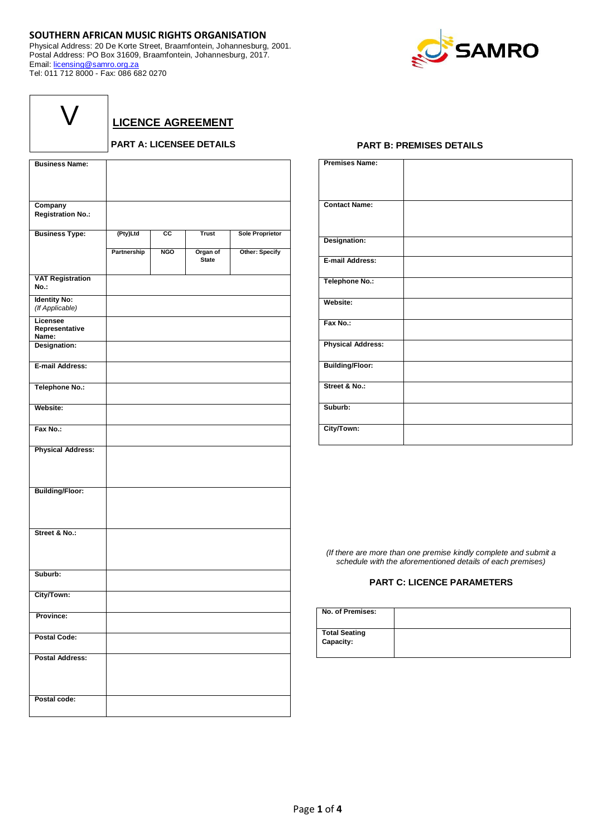## **SOUTHERN AFRICAN MUSIC RIGHTS ORGANISATION**

Physical Address: 20 De Korte Street, Braamfontein, Johannesburg, 2001. Postal Address: PO Box 31609, Braamfontein, Johannesburg, 2017. Email: [licensing@samro.org.za](mailto:licensing@samro.org.za) Tel: 011 712 8000 - Fax: 086 682 0270



| $\bigvee$ |  |
|-----------|--|
|           |  |

**LICENCE AGREEMENT**

## **PART A: LICENSEE DETAILS**

| <b>Business Name:</b>                  |             |            |                          |                        |
|----------------------------------------|-------------|------------|--------------------------|------------------------|
| Company                                |             |            |                          |                        |
| <b>Registration No.:</b>               |             |            |                          |                        |
| <b>Business Type:</b>                  | (Pty)Ltd    | СC         | <b>Trust</b>             | <b>Sole Proprietor</b> |
|                                        | Partnership | <b>NGO</b> | Organ of<br><b>State</b> | Other: Specify         |
| <b>VAT Registration</b><br>No.:        |             |            |                          |                        |
| <b>Identity No:</b><br>(If Applicable) |             |            |                          |                        |
| Licensee<br>Representative<br>Name:    |             |            |                          |                        |
| Designation:                           |             |            |                          |                        |
| E-mail Address:                        |             |            |                          |                        |
| Telephone No.:                         |             |            |                          |                        |
| Website:                               |             |            |                          |                        |
| Fax No.:                               |             |            |                          |                        |
| <b>Physical Address:</b>               |             |            |                          |                        |
| <b>Building/Floor:</b>                 |             |            |                          |                        |
| Street & No.:                          |             |            |                          |                        |
| Suburb:                                |             |            |                          |                        |
| City/Town:                             |             |            |                          |                        |
| Province:                              |             |            |                          |                        |
| <b>Postal Code:</b>                    |             |            |                          |                        |
| <b>Postal Address:</b>                 |             |            |                          |                        |
| Postal code:                           |             |            |                          |                        |

## **PART B: PREMISES DETAILS**

| <b>Premises Name:</b>    |  |
|--------------------------|--|
| <b>Contact Name:</b>     |  |
| Designation:             |  |
| E-mail Address:          |  |
| <b>Telephone No.:</b>    |  |
| Website:                 |  |
| Fax No.:                 |  |
| <b>Physical Address:</b> |  |
| <b>Building/Floor:</b>   |  |
| Street & No.:            |  |
| Suburb:                  |  |
| City/Town:               |  |

*(If there are more than one premise kindly complete and submit a schedule with the aforementioned details of each premises)*

## **PART C: LICENCE PARAMETERS**

| No. of Premises:                  |  |
|-----------------------------------|--|
| <b>Total Seating</b><br>Capacity: |  |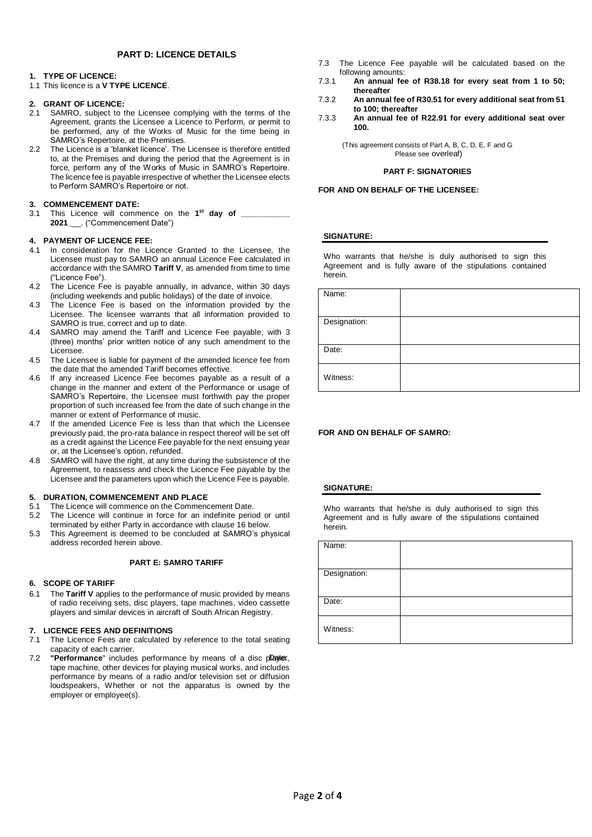## **PART D: LICENCE DETAILS**

## **1. TYPE OF LICENCE:**

1.1 This licence is a **V TYPE LICENCE**.

## **2. GRANT OF LICENCE:**

- 2.1 SAMRO, subject to the Licensee complying with the terms of the Agreement, grants the Licensee a Licence to Perform, or permit to be performed, any of the Works of Music for the time being in SAMRO's Repertoire, at the Premises.
- 2.2 The Licence is a 'blanket licence'. The Licensee is therefore entitled to, at the Premises and during the period that the Agreement is in force, perform any of the Works of Music in SAMRO's Repertoire. The licence fee is payable irrespective of whether the Licensee elects to Perform SAMRO's Repertoire or not.

## **3. COMMENCEMENT DATE:**

3.1 This Licence will commence on the **1 st day of \_\_\_\_\_\_\_\_\_\_\_ 2021\_**\_\_. ("Commencement Date")

### **4. PAYMENT OF LICENCE FEE:**

- 4.1 In consideration for the Licence Granted to the Licensee, the Licensee must pay to SAMRO an annual Licence Fee calculated in accordance with the SAMRO **Tariff V**, as amended from time to time ("Licence Fee").
- 4.2 The Licence Fee is payable annually, in advance, within 30 days (including weekends and public holidays) of the date of invoice.
- 4.3 The Licence Fee is based on the information provided by the Licensee. The licensee warrants that all information provided to SAMRO is true, correct and up to date.
- 4.4 SAMRO may amend the Tariff and Licence Fee payable, with 3 (three) months' prior written notice of any such amendment to the Licensee.
- 4.5 The Licensee is liable for payment of the amended licence fee from the date that the amended Tariff becomes effective.
- 4.6 If any increased Licence Fee becomes payable as a result of a change in the manner and extent of the Performance or usage of SAMRO's Repertoire, the Licensee must forthwith pay the proper proportion of such increased fee from the date of such change in the manner or extent of Performance of music.
- 4.7 If the amended Licence Fee is less than that which the Licensee previously paid, the pro-rata balance in respect thereof will be set off as a credit against the Licence Fee payable for the next ensuing year or, at the Licensee's option, refunded.
- 4.8 SAMRO will have the right, at any time during the subsistence of the Agreement, to reassess and check the Licence Fee payable by the Licensee and the parameters upon which the Licence Fee is payable.

### **5. DURATION, COMMENCEMENT AND PLACE**

- 5.1 The Licence will commence on the Commencement Date.
- 5.2 The Licence will continue in force for an indefinite period or until terminated by either Party in accordance with clause 16 below.
- 5.3 This Agreement is deemed to be concluded at SAMRO's physical address recorded herein above.

### **PART E: SAMRO TARIFF**

### **6. SCOPE OF TARIFF**

6.1 The **Tariff V** applies to the performance of music provided by means of radio receiving sets, disc players, tape machines, video cassette players and similar devices in aircraft of South African Registry.

### **7. LICENCE FEES AND DEFINITIONS**

- 7.1 The Licence Fees are calculated by reference to the total seating capacity of each carrier.
- 7.2 **"Performance**" includes performance by means of a disc player, tape machine, other devices for playing musical works, and includes performance by means of a radio and/or television set or diffusion loudspeakers, Whether or not the apparatus is owned by the employer or employee(s).
- 7.3 The Licence Fee payable will be calculated based on the following amounts:
- 7.3.1 **An annual fee of R38.18 for every seat from 1 to 50; thereafter**
- 7.3.2 **An annual fee of R30.51 for every additional seat from 51 to 100; thereafter**
- 7.3.3 **An annual fee of R22.91 for every additional seat over 100.**

(This agreement consists of Part A, B, C, D, E, F and G Please see overleaf)

### **PART F: SIGNATORIES**

### **FOR AND ON BEHALF OF THE LICENSEE:**

### **SIGNATURE:**

Who warrants that he/she is duly authorised to sign this Agreement and is fully aware of the stipulations contained herein.

| Name:        |  |
|--------------|--|
| Designation: |  |
| Date:        |  |
| Witness:     |  |

## **FOR AND ON BEHALF OF SAMRO:**

### **SIGNATURE:**

Who warrants that he/she is duly authorised to sign this Agreement and is fully aware of the stipulations contained herein.

| Name:        |  |
|--------------|--|
| Designation: |  |
| Date:        |  |
| Witness:     |  |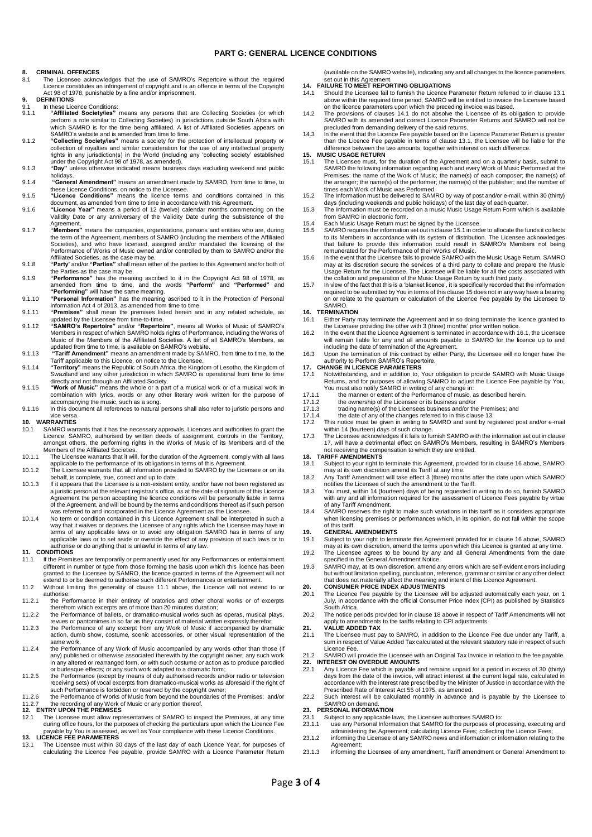### **PART G: GENERAL LICENCE CONDITIONS**

### **8. CRIMINAL OFFENCES**

- 8.1 The Licensee acknowledges that the use of SAMRO's Repertoire without the required Licence constitutes an infringement of copyright and is an offence in terms of the Copyright Act 98 of 1978, punishable by a fine and/or imprisonment.
- **9. DEFINITIONS**
- 9.1 In these Licence Conditions:<br>9.1. **Affiliated Society/jes**" 9.1.1 "Affiliated Society/ies" means any persons that are Collecting Societies (or which perform a role similar to Collecting Societies) in jurisdictions outside South Africa with which SAMRO is for the time being affiliat
- 9.1.2 **"Collecting Society/ies"** means a society for the protection of intellectual property or collection of royalties and similar consideration for the use of any intellectual property rights in any jurisdiction(s) in the World (including any 'collecting society' established under the Copyright Act 98 of 1978, as amended).
- 9.1.3 **"Day"** unless otherwise indicated means business days excluding weekend and public
- holidays. 9.1.4 **"General Amendment"** means an amendment made by SAMRO, from time to time, to these Licence Conditions, on notice to the Licensee. 9.1.5 **"Licence Conditions"** means the licence terms and conditions contained in this
- 
- document, as amended from time to time in accordance with this Agreement. 9.1.6 **"Licence Year"** means a period of 12 (twelve) calendar months commencing on the Validity Date or any anniversary of the Validity Date during the subsistence of the
- Agreement.<br>9.1.7 **"Members**" means the companies, organisations, persons and entities who are, during<br>the term of the Agreement, members of SAMRO (including the members of the Affiliated Societies), and who have licensed, assigned and/or mandated the licensing of the Performance of Works of Music owned and/or controlled by them to SAMRO and/or the Affiliated Societies, as the case may be.
- 9.1.8 **"Party'** and/or **"Parties"** shall mean either of the parties to this Agreement and/or both of the Parties as the case may be.
- 9.1.9 **"Performance"** has the meaning ascribed to it in the Copyright Act 98 of 1978, as amended from time to time, and the words **"Perform"** and **"Performed"** and **"Performing"** will have the same meaning.
- 9.1.10 **"Personal Information"** has the meaning ascribed to it in the Protection of Personal Information Act 4 of 2013, as amended from time to time. 9.1.11 **"Premises"** shall mean the premises listed herein and in any related schedule, as
- 
- updated by the Licensee from time-to-time.<br>9.1.12 "SAMRO's Repertoire" and/or "Repertoire", means all Works of Music of SAMRO's<br>Members in respect of which SAMRO holds rights of Performance, including the Works of<br>Music of
- 9.1.13 **"Tariff Amendment"** means an amendment made by SAMRO, from time to time, to the Tariff applicable to this Licence, on notice to the Licensee.
- 9.1.14 **"Territory"** means the Republic of South Africa, the Kingdom of Lesotho, the Kingdom of Swaziland and any other jurisdiction in which SAMRO is operational from time to time directly and not through an Affiliated Society. 9.1.15 **"Work of Music"** means the whole or a part of a musical work or of a musical work in
- combination with lyrics, words or any other literary work written for the purpose of accompanying the music, such as a song.
- 9.1.16 In this document all references to natural persons shall also refer to juristic persons and

## vice versa. **10. WARRANTIES**

- 10.1 SAMRO warrants that it has the necessary approvals, Licences and authorities to grant the Licence. SAMRO, authorised by written deeds of assignment, controls in the Territory, amongst others, the performing rights in the Works of Music of its Members and of the Members of the Affiliated Societies.
- 10.1.1 The Licensee warrants that it will, for the duration of the Agreement, comply with all laws applicable to the performance of its obligations in terms of this Agreement.
- 10.1.2 The Licensee warrants that all information provided to SAMRO by the Licensee or on its behalf, is complete, true, correct and up to date.
- 10.1.3 If it appears that the Licensee is a non-existent entity, and/or have not been registered as a juristic person at the relevant registrar's office, as at the date of signature of this Licence Agreement the person accepting the licence conditions will be personally liable in terms<br>of the Agreement, and will be bound by the terms and conditions thereof as if such person<br>was referred to and incorporated in the Lic
- 10.1.4 No term or condition contained in this Licence Agreement shall be interpreted in such a way that it waives or deprives the Licensee of any rights which the Licensee may have in<br>terms of any applicable laws or to avoid any obligation SAMRO has in terms of any<br>applicable laws or to set aside or override the eff authorise or do anything that is unlawful in terms of any law. **11. CONDITIONS**

- 11.1 If the Premises are temporarily or permanently used for any Performances or entertainment different in number or type from those forming the basis upon which this licence has been granted to the Licensee by SAMRO, the licence granted in terms of the Agreement will not extend to or be deemed to authorise such different Performances or entertainment.
- 11.2 Without limiting the generality of clause 11.1 above, the Licence will not extend to or authorise:
- 11.2.1 the Performance in their entirety of oratorios and other choral works or of excerpts
- therefrom which excerpts are of more than 20 minutes duration; 11.2.2 the Performance of ballets, or dramatico-musical works such as operas, musical plays,
- revues or pantomimes in so far as they consist of material written expressly therefor; 11.2.3 the Performance of any excerpt from any Work of Music if accompanied by dramatic action, dumb show, costume, scenic accessories, or other visual representation of the same work.
- 11.2.4 the Performance of any Work of Music accompanied by any words other than those (if any) published or otherwise associated therewith by the copyright owner; any such work in any altered or rearranged form, or with such costume or action as to produce parodied or burlesque effects; or any such work adapted to a dramatic form;
- 11.2.5 the Performance (except by means of duly authorised records and/or radio or television receiving sets) of vocal excerpts from dramatico-musical works as aforesaid if the right of
- such Performance is forbidden or reserved by the copyright owner;<br>11.2.6 the Performance of Works of Music from beyond the boundaries of the Premises; and/or<br>11.2.7 the recording of any Work of Music or any portion thereof

- during office hours, for the purposes of checking the particulars upon which the Licence Fee payable by You is assessed, as well as Your compliance with these Licence Conditions. **13. LICENCE FEE PARAMETERS**
- 13.1 The Licensee must within 30 days of the last day of each Licence Year, for purposes of calculating the Licence Fee payable, provide SAMRO with a Licence Parameter Return

(available on the SAMRO website), indicating any and all changes to the licence parameters set out in this Agreement. **14. FAILURE TO MEET REPORTING OBLIGATIONS**

- 
- 14.1 Should the Licensee fail to furnish the Licence Parameter Return referred to in clause 13.1 above within the required time period, SAMRO will be entitled to invoice the Licensee based on the licence parameters upon which the preceding invoice was based.
- 14.2 The provisions of clauses 14.1 do not absolve the Licensee of its obligation to provide SAMRO with its amended and correct Licence Parameter Returns and SAMRO will not be
- precluded from demanding delivery of the said returns. 14.3 In the event that the Licence Fee payable based on the Licence Parameter Return is greater than the Licence Fee payable in terms of clause 13.1, the Licensee will be liable for the difference between the two amounts, together with interest on such difference. **15. MUSIC USAGE RETURN**

- 15.1 The Licensee must, for the duration of the Agreement and on a quarterly basis, submit to SAMRO the following information regarding each and every Work of Music Performed at the Premises: the name of the Work of Music; the name(s) of each composer; the name(s) of the arranger; the name(s) of the performer; the name(s) of the publisher; and the number of times each Work of Music was Performed. 15.2 The Information must be delivered to SAMRO by way of post and/or e-mail, within 30 (thirty)
- days (including weekends and public holidays) of the last day of each quarter. 15.3 The Information must be recorded on a music Music Usage Return Form which is available
- 
- from SAMRO in electronic form. 15.4 Each Music Usage Return must be signed by the Licensee.
- 15.5 SAMRO requires the information set out in clause 15.1 in order to allocate the funds it collects to its Members in accordance with its system of distribution. The Licensee acknowledges that failure to provide this information could result in SAMRO's Members not being remunerated for the Performance of their Works of Music.
- 15.6 In the event that the Licensee fails to provide SAMRO with the Music Usage Return, SAMRO may at its discretion secure the services of a third party to collate and prepare the Music Usage Return for the Licensee. The Licensee will be liable for all the costs associated with the collation and preparation of the Music Usage Return by such third party.
- 15.7 In view of the fact that this is a 'blanket licence', it is specifically recorded that the information required to be submitted by You in terms of this clause 15 does not in any way have a bearing on or relate to the quantum or calculation of the Licence Fee payable by the Licensee to SAMRO.

- **16. TERMINATION**<br>**16.1** Either Party r 16.1 Either Party may terminate the Agreement and in so doing terminate the licence granted to the Licensee providing the other with 3 (three) months' prior written notice.
- 16.2 In the event that the Licence Agreement is terminated in accordance with 16.1, the Licensee will remain liable for any and all amounts payable to SAMRO for the licence up to and including the date of termination of the Agreement.
- 16.3 Upon the termination of this contract by either Party, the Licensee will no longer have the authority to Perform SAMRO's Repertoire.

## **17. CHANGE IN LICENCE PARAMETERS**<br>17.1 Notwithstanding and in addition to

- 17.1 Notwithstanding, and in addition to, Your obligation to provide SAMRO with Music Usage Returns, and for purposes of allowing SAMRO to adjust the Licence Fee payable by You, You must also notify SAMRO in writing of any change in:
- 
- 17.1.1 the manner or extent of the Performance of music, as described herein. 17.1.2 the ownership of the Licensee or its business and/or
- 
- 17.1.3 trading name(s) of the Licensees business and/or the Premises; and 17.1.4 the date of any of the changes referred to in this clause 13.
- This notice must be given in writing to SAMRO and sent by registered post and/or e-mail<br>writhin 14 (fourteen) days of such change.<br>The Licensee acknowledges if it fails to furnish SAMRO with the information set out in clau
- 17, will have a detrimental effect on SAMRO's Members, resulting in SAMRO's Members not receiving the compensation to which they are entitled.

### **18. TARIFF AMENDMENTS**

- 18.1 Subject to your right to terminate this Agreement, provided for in clause 16 above, SAMRO may at its own discretion amend its Tariff at any time. 18.2 Any Tariff Amendment will take effect 3 (three) months after the date upon which SAMRO
- notifies the Licensee of such the amendment to the Tariff.
- 18.3 You must, within 14 (fourteen) days of being requested in writing to do so, furnish SAMRO with any and all information required for the assessment of Licence Fees payable by virtue
- of any Tariff Amendment. 18.4 SAMRO reserves the right to make such variations in this tariff as it considers appropriate when licensing premises or performances which, in its opinion, do not fall within the scope of this tariff.

- **19. GENERAL AMENDMENTS**<br>19.1 Subject to your right to term 19.1 Subject to your right to terminate this Agreement provided for in clause 16 above, SAMRO
- may at its own discretion, amend the terms upon which this Licence is granted at any time. 19.2 The Licensee agrees to be bound by any and all General Amendments from the date specified in the General Amendment Notice.
- 19.3 SAMRO may, at its own discretion, amend any errors which are self-evident errors including but without limitation spelling, punctuation, reference, grammar or similar or any other defect<br>that does not materially affect the meaning and intent of this Licence Agreement.<br>20. CONSUMER PRICE INDEX ADJUSTMENTS

- 20.1 The Licence Fee payable by the Licensee will be adjusted automatically each year, on 1 July, in accordance with the official Consumer Price Index (CPI) as published by Statistics South Africa.
- 20.2 The notice periods provided for in clause 18 above in respect of Tariff Amendments will not apply to amendments to the tariffs relating to CPI adjustments. **21. VALUE ADDED TAX**

# 21.1 The Licensee must pay to SAMRO, in addition to the Licence Fee due under any Tariff, a sum in respect of Value Added Tax calculated at the relevant statutory rate in respect of such

- Licence Fee. 21.2 SAMRO will provide the Licensee with an Original Tax Invoice in relation to the fee payable. **22. INTEREST ON OVERDUE AMOUNTS**
- 22.1 Any Licence Fee which is payable and remains unpaid for a period in excess of 30 (thirty) days from the date of the invoice, will attract interest at the current legal rate, calculated in accordance with the interest rate prescribed by the Minister of Justice in accordance with the Prescribed Rate of Interest Act 55 of 1975, as amended.
- 22.2 Such interest will be calculated monthly in advance and is payable by the Licensee to SAMRO on demand.

## **23. PERSONAL INFORMATION**

- 23.1 Subject to any applicable laws, the Licensee authorises SAMRO to:<br>23.1 Subject to any applicable laws, the Licensee authorises SAMRO to:
- 23.1.1 use any Personal Information that SAMRO for the purposes of processing, executing and<br>administering the Agreement; calculating Licence Fees; collecting the Licence Fees;<br>23.1.2 informing the Licensee of any SAMRO ne Agreement;
- 23.1.3 informing the Licensee of any amendment, Tariff amendment or General Amendment to